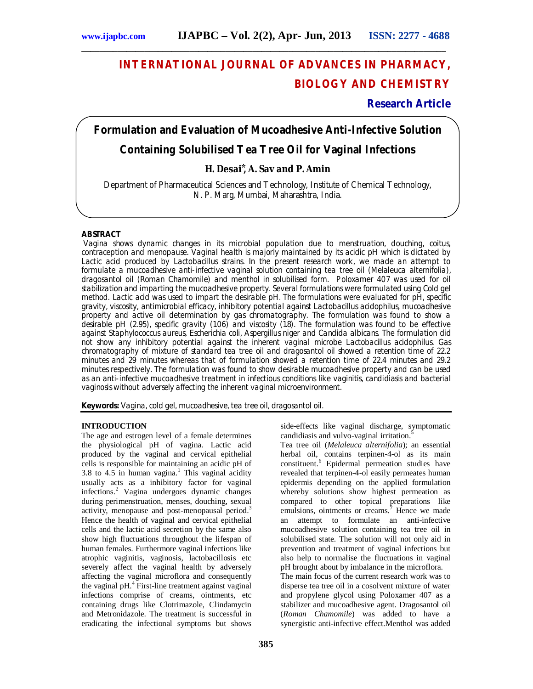# **INTERNATIONAL JOURNAL OF ADVANCES IN PHARMACY, BIOLOGY AND CHEMISTRY**

# **Research Article**

# **Formulation and Evaluation of Mucoadhesive Anti-Infective Solution**

**\_\_\_\_\_\_\_\_\_\_\_\_\_\_\_\_\_\_\_\_\_\_\_\_\_\_\_\_\_\_\_\_\_\_\_\_\_\_\_\_\_\_\_\_\_\_\_\_\_\_\_\_\_\_\_\_\_\_\_\_\_\_\_\_\_\_\_\_\_\_\_\_\_\_\_\_\_\_\_\_\_**

# **Containing Solubilised Tea Tree Oil for Vaginal Infections**

# **H. Desai ⃰, A. Sav and P. Amin**

Department of Pharmaceutical Sciences and Technology, Institute of Chemical Technology, N. P. Marg, Mumbai, Maharashtra, India.

# **ABSTRACT**

Vagina shows dynamic changes in its microbial population due to menstruation, douching, coitus, contraception and menopause. Vaginal health is majorly maintained by its acidic pH which is dictated by Lactic acid produced by Lactobacillus strains. In the present research work, we made an attempt to formulate a mucoadhesive anti-infective vaginal solution containing tea tree oil (*Melaleuca alternifolia*), dragosantol oil (*Roman Chamomile*) and menthol in solubilised form. Poloxamer 407 was used for oil stabilization and imparting the mucoadhesive property. Several formulations were formulated using Cold gel method. Lactic acid was used to impart the desirable pH. The formulations were evaluated for pH, specific gravity, viscosity, antimicrobial efficacy, inhibitory potential against Lactobacillus acidophilus, mucoadhesive property and active oil determination by gas chromatography. The formulation was found to show a desirable pH (2.95), specific gravity (1.06) and viscosity (1.8). The formulation was found to be effective against *Staphylococcus aureus*, *Escherichia coli, Aspergillus niger* and *Candida albicans*. The formulation did not show any inhibitory potential against the inherent vaginal microbe *Lactobacillus acidophilus*. Gas chromatography of mixture of standard tea tree oil and dragosantol oil showed a retention time of 22.2 minutes and 29 minutes whereas that of formulation showed a retention time of 22.4 minutes and 29.2 minutes respectively. The formulation was found to show desirable mucoadhesive property and can be used as an anti-infective mucoadhesive treatment in infectious conditions like vaginitis, candidiasis and bacterial vaginosis without adversely affecting the inherent vaginal microenvironment.

**Keywords:** Vagina, cold gel, mucoadhesive, tea tree oil, dragosantol oil.

# **INTRODUCTION**

The age and estrogen level of a female determines the physiological pH of vagina. Lactic acid produced by the vaginal and cervical epithelial cells is responsible for maintaining an acidic pH of 3.8 to 4.5 in human vagina. <sup>1</sup> This vaginal acidity usually acts as a inhibitory factor for vaginal infections.<sup>2</sup> Vagina undergoes dynamic changes during perimenstruation, menses, douching, sexual activity, menopause and post-menopausal period.<sup>3</sup> Hence the health of vaginal and cervical epithelial cells and the lactic acid secretion by the same also show high fluctuations throughout the lifespan of human females. Furthermore vaginal infections like atrophic vaginitis, vaginosis, lactobacillosis etc severely affect the vaginal health by adversely affecting the vaginal microflora and consequently the vaginal pH. 4 First-line treatment against vaginal infections comprise of creams, ointments, etc containing drugs like Clotrimazole, Clindamycin and Metronidazole. The treatment is successful in eradicating the infectional symptoms but shows

side-effects like vaginal discharge, symptomatic candidiasis and vulvo-vaginal irritation.<sup>5</sup>

Tea tree oil (*Melaleuca alternifolia*); an essential herbal oil, contains terpinen-4-ol as its main constituent. <sup>6</sup> Epidermal permeation studies have revealed that terpinen-4-ol easily permeates human epidermis depending on the applied formulation whereby solutions show highest permeation as compared to other topical preparations like emulsions, ointments or creams.<sup>7</sup> Hence we made an attempt to formulate an anti-infective mucoadhesive solution containing tea tree oil in solubilised state. The solution will not only aid in prevention and treatment of vaginal infections but also help to normalise the fluctuations in vaginal pH brought about by imbalance in the microflora.

The main focus of the current research work was to disperse tea tree oil in a cosolvent mixture of water and propylene glycol using Poloxamer 407 as a stabilizer and mucoadhesive agent. Dragosantol oil (*Roman Chamomile*) was added to have a synergistic anti-infective effect.Menthol was added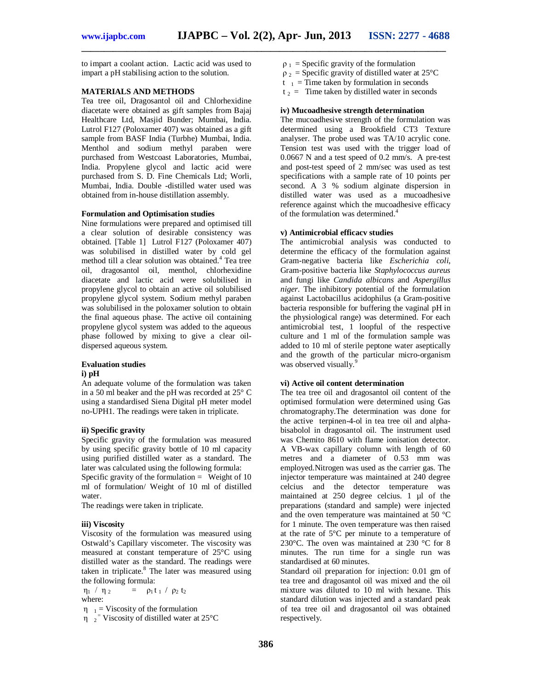**\_\_\_\_\_\_\_\_\_\_\_\_\_\_\_\_\_\_\_\_\_\_\_\_\_\_\_\_\_\_\_\_\_\_\_\_\_\_\_\_\_\_\_\_\_\_\_\_\_\_\_\_\_\_\_\_\_\_\_\_\_\_\_\_\_\_\_\_\_\_\_\_\_\_\_\_\_\_\_\_\_**

to impart a coolant action. Lactic acid was used to impart a pH stabilising action to the solution.

# **MATERIALS AND METHODS**

Tea tree oil, Dragosantol oil and Chlorhexidine diacetate were obtained as gift samples from Bajaj Healthcare Ltd, Masjid Bunder; Mumbai, India. Lutrol F127 (Poloxamer 407) was obtained as a gift sample from BASF India (Turbhe) Mumbai, India. Menthol and sodium methyl paraben were purchased from Westcoast Laboratories, Mumbai, India. Propylene glycol and lactic acid were purchased from S. D. Fine Chemicals Ltd; Worli, Mumbai, India. Double -distilled water used was obtained from in-house distillation assembly.

#### **Formulation and Optimisation studies**

Nine formulations were prepared and optimised till a clear solution of desirable consistency was obtained. [Table 1] Lutrol F127 (Poloxamer 407) was solubilised in distilled water by cold gel method till a clear solution was obtained.<sup>4</sup> Tea tree oil, dragosantol oil, menthol, chlorhexidine diacetate and lactic acid were solubilised in propylene glycol to obtain an active oil solubilised propylene glycol system. Sodium methyl paraben was solubilised in the poloxamer solution to obtain the final aqueous phase. The active oil containing propylene glycol system was added to the aqueous phase followed by mixing to give a clear oildispersed aqueous system.

#### **Evaluation studies i) pH**

An adequate volume of the formulation was taken in a 50 ml beaker and the pH was recorded at 25° C using a standardised Siena Digital pH meter model no-UPH1. The readings were taken in triplicate.

# **ii) Specific gravity**

Specific gravity of the formulation was measured by using specific gravity bottle of 10 ml capacity using purified distilled water as a standard. The later was calculated using the following formula: Specific gravity of the formulation  $=$  Weight of 10 ml of formulation/ Weight of 10 ml of distilled water.

The readings were taken in triplicate.

#### **iii) Viscosity**

Viscosity of the formulation was measured using Ostwald's Capillary viscometer. The viscosity was measured at constant temperature of 25°C using distilled water as the standard. The readings were taken in triplicate. <sup>8</sup> The later was measured using the following formula:

η1 / η <sup>2</sup>  $=$   $\rho_1 t_1 / \rho_2 t_2$ where:

 $\eta_{1}$  = Viscosity of the formulation

 $\eta$ <sub>2</sub><sup>=</sup> Viscosity of distilled water at 25°C

- $\rho_1$  = Specific gravity of the formulation
- $\rho_2$  = Specific gravity of distilled water at 25°C
- $t_{1}$  = Time taken by formulation in seconds
- $t_2$  = Time taken by distilled water in seconds

#### **iv) Mucoadhesive strength determination**

The mucoadhesive strength of the formulation was determined using a Brookfield CT3 Texture analyser. The probe used was TA/10 acrylic cone. Tension test was used with the trigger load of 0.0667 N and a test speed of 0.2 mm/s. A pre-test and post-test speed of 2 mm/sec was used as test specifications with a sample rate of 10 points per second. A 3 % sodium alginate dispersion in distilled water was used as a mucoadhesive reference against which the mucoadhesive efficacy of the formulation was determined. 4

# **v) Antimicrobial efficacv studies**

The antimicrobial analysis was conducted to determine the efficacy of the formulation against Gram-negative bacteria like *Escherichia coli*, Gram-positive bacteria like *Staphylococcus aureus* and fungi like *Candida albicans* and *Aspergillus niger*. The inhibitory potential of the formulation against Lactobacillus acidophilus (a Gram-positive bacteria responsible for buffering the vaginal pH in the physiological range) was determined. For each antimicrobial test, 1 loopful of the respective culture and 1 ml of the formulation sample was added to 10 ml of sterile peptone water aseptically and the growth of the particular micro-organism was observed visually.<sup>9</sup>

#### **vi) Active oil content determination**

The tea tree oil and dragosantol oil content of the optimised formulation were determined using Gas chromatography.The determination was done for the active terpinen-4-ol in tea tree oil and alphabisabolol in dragosantol oil. The instrument used was Chemito 8610 with flame ionisation detector. A VB-wax capillary column with length of 60 metres and a diameter of 0.53 mm was employed.Nitrogen was used as the carrier gas. The injector temperature was maintained at 240 degree celcius and the detector temperature was maintained at 250 degree celcius. 1 ul of the preparations (standard and sample) were injected and the oven temperature was maintained at 50 °C for 1 minute. The oven temperature was then raised at the rate of 5°C per minute to a temperature of 230°C. The oven was maintained at 230 °C for 8 minutes. The run time for a single run was standardised at 60 minutes.

Standard oil preparation for injection: 0.01 gm of tea tree and dragosantol oil was mixed and the oil mixture was diluted to 10 ml with hexane. This standard dilution was injected and a standard peak of tea tree oil and dragosantol oil was obtained respectively.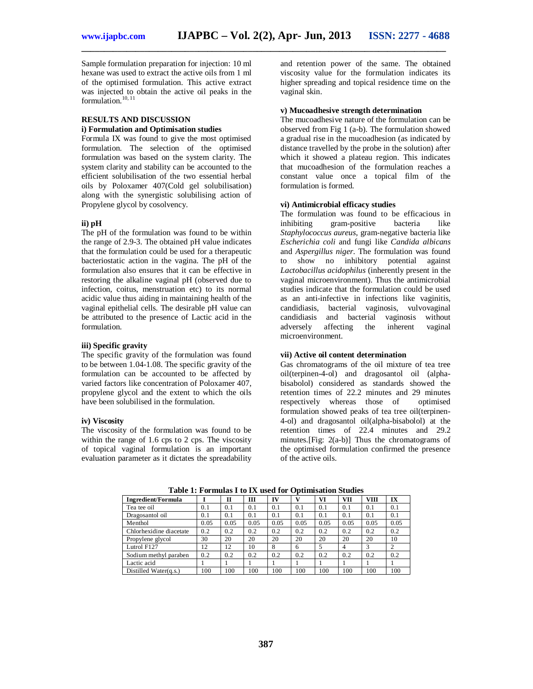**\_\_\_\_\_\_\_\_\_\_\_\_\_\_\_\_\_\_\_\_\_\_\_\_\_\_\_\_\_\_\_\_\_\_\_\_\_\_\_\_\_\_\_\_\_\_\_\_\_\_\_\_\_\_\_\_\_\_\_\_\_\_\_\_\_\_\_\_\_\_\_\_\_\_\_\_\_\_\_\_\_**

Sample formulation preparation for injection: 10 ml hexane was used to extract the active oils from 1 ml of the optimised formulation. This active extract was injected to obtain the active oil peaks in the formulation.<sup>10, 11</sup>

# **RESULTS AND DISCUSSION i) Formulation and Optimisation studies**

Formula IX was found to give the most optimised formulation. The selection of the optimised formulation was based on the system clarity. The system clarity and stability can be accounted to the efficient solubilisation of the two essential herbal oils by Poloxamer 407(Cold gel solubilisation) along with the synergistic solubilising action of Propylene glycol by cosolvency.

#### **ii) pH**

The pH of the formulation was found to be within the range of 2.9-3. The obtained pH value indicates that the formulation could be used for a therapeutic bacteriostatic action in the vagina. The pH of the formulation also ensures that it can be effective in restoring the alkaline vaginal pH (observed due to infection, coitus, menstruation etc) to its normal acidic value thus aiding in maintaining health of the vaginal epithelial cells. The desirable pH value can be attributed to the presence of Lactic acid in the formulation.

#### **iii) Specific gravity**

The specific gravity of the formulation was found to be between 1.04-1.08. The specific gravity of the formulation can be accounted to be affected by varied factors like concentration of Poloxamer 407, propylene glycol and the extent to which the oils have been solubilised in the formulation.

#### **iv) Viscosity**

The viscosity of the formulation was found to be within the range of 1.6 cps to 2 cps. The viscosity of topical vaginal formulation is an important evaluation parameter as it dictates the spreadability

and retention power of the same. The obtained viscosity value for the formulation indicates its higher spreading and topical residence time on the vaginal skin.

#### **v) Mucoadhesive strength determination**

The mucoadhesive nature of the formulation can be observed from Fig 1 (a-b). The formulation showed a gradual rise in the mucoadhesion (as indicated by distance travelled by the probe in the solution) after which it showed a plateau region. This indicates that mucoadhesion of the formulation reaches a constant value once a topical film of the formulation is formed.

#### **vi) Antimicrobial efficacy studies**

The formulation was found to be efficacious in inhibiting gram-positive bacteria like *Staphylococcus aureus*, gram-negative bacteria like *Escherichia coli* and fungi like *Candida albicans*  and *Aspergillus niger*. The formulation was found to show no inhibitory potential against *Lactobacillus acidophilus* (inherently present in the vaginal microenvironment). Thus the antimicrobial studies indicate that the formulation could be used as an anti-infective in infections like vaginitis, candidiasis, bacterial vaginosis, vulvovaginal candidiasis and bacterial vaginosis without adversely affecting the inherent vaginal microenvironment.

# **vii) Active oil content determination**

Gas chromatograms of the oil mixture of tea tree oil(terpinen-4-ol) and dragosantol oil (alphabisabolol) considered as standards showed the retention times of 22.2 minutes and 29 minutes respectively whereas those of optimised formulation showed peaks of tea tree oil(terpinen-4-ol) and dragosantol oil(alpha-bisabolol) at the retention times of 22.4 minutes and 29.2 minutes.[Fig: 2(a-b)] Thus the chromatograms of the optimised formulation confirmed the presence of the active oils.

| Ingredient/Formula       |                 | П    | III  | IV   |      | VI   | <b>VII</b>     | <b>VIII</b> | IX   |
|--------------------------|-----------------|------|------|------|------|------|----------------|-------------|------|
| Tea tee oil              | 0.1             | 0.1  | 0.1  | 0.1  | 0.1  | 0.1  | 0.1            | 0.1         | 0.1  |
| Dragosantol oil          | 0.1             | 0.1  | 0.1  | 0.1  | 0.1  | 0.1  | 0.1            | 0.1         | 0.1  |
| Menthol                  | 0.05            | 0.05 | 0.05 | 0.05 | 0.05 | 0.05 | 0.05           | 0.05        | 0.05 |
| Chlorhexidine diacetate  | 0.2             | 0.2  | 0.2  | 0.2  | 0.2  | 0.2  | 0.2            | 0.2         | 0.2  |
| Propylene glycol         | 30              | 20   | 20   | 20   | 20   | 20   | 20             | 20          | 10   |
| Lutrol F127              | 12              | 12   | 10   | 8    | 6    | 5    | $\overline{4}$ | 3           |      |
| Sodium methyl paraben    | 0.2             | 0.2  | 0.2  | 0.2  | 0.2  | 0.2  | 0.2            | 0.2         | 0.2  |
| Lactic acid              |                 |      |      |      |      |      |                |             |      |
| Distilled Water $(q.s.)$ | 00 <sup>1</sup> | 100  | 100  | 100  | 100  | 100  | 100            | 100         | 100  |

**Table 1: Formulas I to IX used for Optimisation Studies**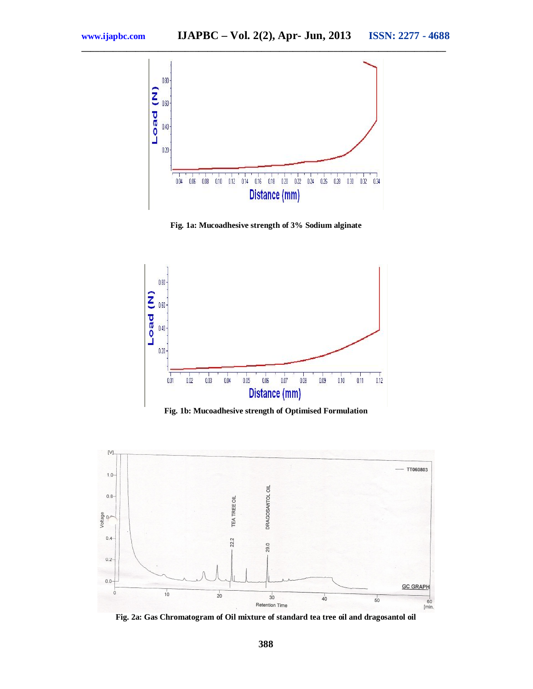

**Fig. 1a: Mucoadhesive strength of 3% Sodium alginate**



**Fig. 1b: Mucoadhesive strength of Optimised Formulation**



**Fig. 2a: Gas Chromatogram of Oil mixture of standard tea tree oil and dragosantol oil**